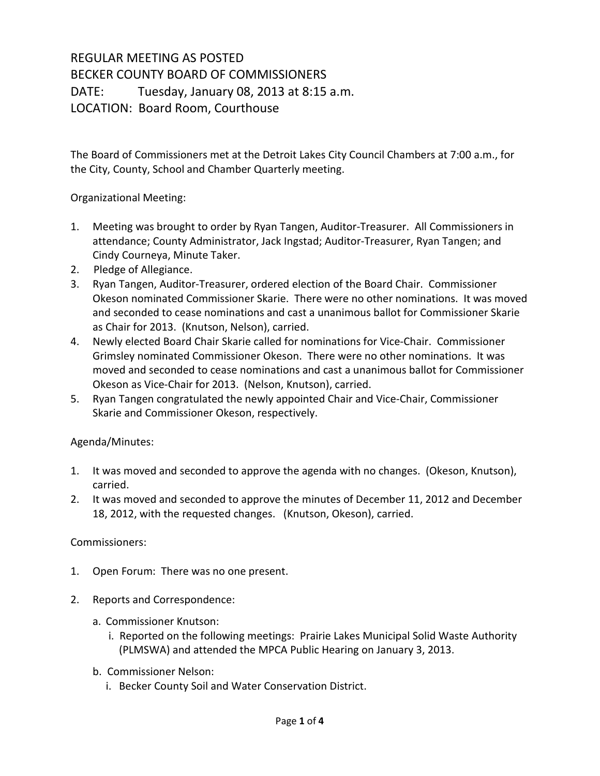## REGULAR MEETING AS POSTED BECKER COUNTY BOARD OF COMMISSIONERS DATE: Tuesday, January 08, 2013 at 8:15 a.m. LOCATION: Board Room, Courthouse

The Board of Commissioners met at the Detroit Lakes City Council Chambers at 7:00 a.m., for the City, County, School and Chamber Quarterly meeting.

## Organizational Meeting:

- 1. Meeting was brought to order by Ryan Tangen, Auditor-Treasurer. All Commissioners in attendance; County Administrator, Jack Ingstad; Auditor-Treasurer, Ryan Tangen; and Cindy Courneya, Minute Taker.
- 2. Pledge of Allegiance.
- 3. Ryan Tangen, Auditor-Treasurer, ordered election of the Board Chair. Commissioner Okeson nominated Commissioner Skarie. There were no other nominations. It was moved and seconded to cease nominations and cast a unanimous ballot for Commissioner Skarie as Chair for 2013. (Knutson, Nelson), carried.
- 4. Newly elected Board Chair Skarie called for nominations for Vice-Chair. Commissioner Grimsley nominated Commissioner Okeson. There were no other nominations. It was moved and seconded to cease nominations and cast a unanimous ballot for Commissioner Okeson as Vice-Chair for 2013. (Nelson, Knutson), carried.
- 5. Ryan Tangen congratulated the newly appointed Chair and Vice-Chair, Commissioner Skarie and Commissioner Okeson, respectively.

## Agenda/Minutes:

- 1. It was moved and seconded to approve the agenda with no changes. (Okeson, Knutson), carried.
- 2. It was moved and seconded to approve the minutes of December 11, 2012 and December 18, 2012, with the requested changes. (Knutson, Okeson), carried.

## Commissioners:

- 1. Open Forum: There was no one present.
- 2. Reports and Correspondence:
	- a. Commissioner Knutson:
		- i. Reported on the following meetings: Prairie Lakes Municipal Solid Waste Authority (PLMSWA) and attended the MPCA Public Hearing on January 3, 2013.
	- b. Commissioner Nelson:
		- i. Becker County Soil and Water Conservation District.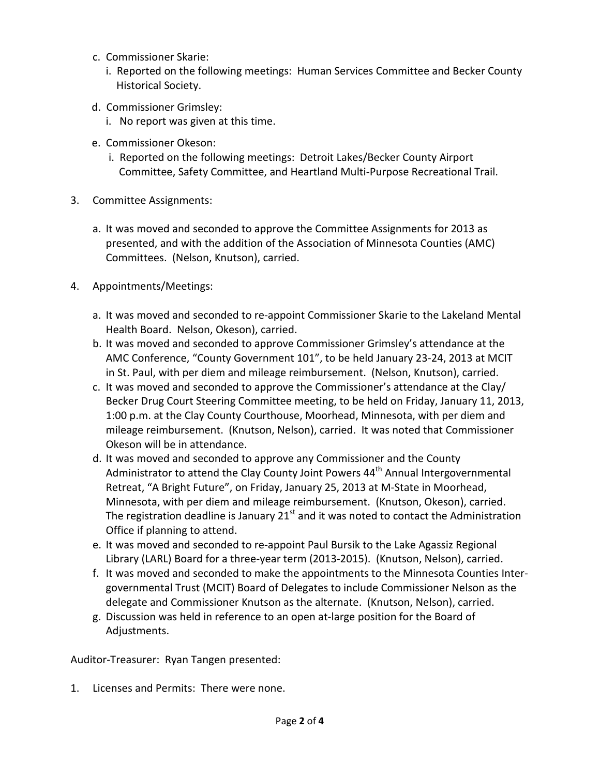- c. Commissioner Skarie:
	- i. Reported on the following meetings: Human Services Committee and Becker County Historical Society.
- d. Commissioner Grimsley:
	- i. No report was given at this time.
- e. Commissioner Okeson:
	- i. Reported on the following meetings: Detroit Lakes/Becker County Airport Committee, Safety Committee, and Heartland Multi-Purpose Recreational Trail.
- 3. Committee Assignments:
	- a. It was moved and seconded to approve the Committee Assignments for 2013 as presented, and with the addition of the Association of Minnesota Counties (AMC) Committees. (Nelson, Knutson), carried.
- 4. Appointments/Meetings:
	- a. It was moved and seconded to re-appoint Commissioner Skarie to the Lakeland Mental Health Board. Nelson, Okeson), carried.
	- b. It was moved and seconded to approve Commissioner Grimsley's attendance at the AMC Conference, "County Government 101", to be held January 23-24, 2013 at MCIT in St. Paul, with per diem and mileage reimbursement. (Nelson, Knutson), carried.
	- c. It was moved and seconded to approve the Commissioner's attendance at the Clay/ Becker Drug Court Steering Committee meeting, to be held on Friday, January 11, 2013, 1:00 p.m. at the Clay County Courthouse, Moorhead, Minnesota, with per diem and mileage reimbursement. (Knutson, Nelson), carried. It was noted that Commissioner Okeson will be in attendance.
	- d. It was moved and seconded to approve any Commissioner and the County Administrator to attend the Clay County Joint Powers  $44<sup>th</sup>$  Annual Intergovernmental Retreat, "A Bright Future", on Friday, January 25, 2013 at M-State in Moorhead, Minnesota, with per diem and mileage reimbursement. (Knutson, Okeson), carried. The registration deadline is January  $21<sup>st</sup>$  and it was noted to contact the Administration Office if planning to attend.
	- e. It was moved and seconded to re-appoint Paul Bursik to the Lake Agassiz Regional Library (LARL) Board for a three-year term (2013-2015). (Knutson, Nelson), carried.
	- f. It was moved and seconded to make the appointments to the Minnesota Counties Intergovernmental Trust (MCIT) Board of Delegates to include Commissioner Nelson as the delegate and Commissioner Knutson as the alternate. (Knutson, Nelson), carried.
	- g. Discussion was held in reference to an open at-large position for the Board of Adjustments.

Auditor-Treasurer: Ryan Tangen presented:

1. Licenses and Permits: There were none.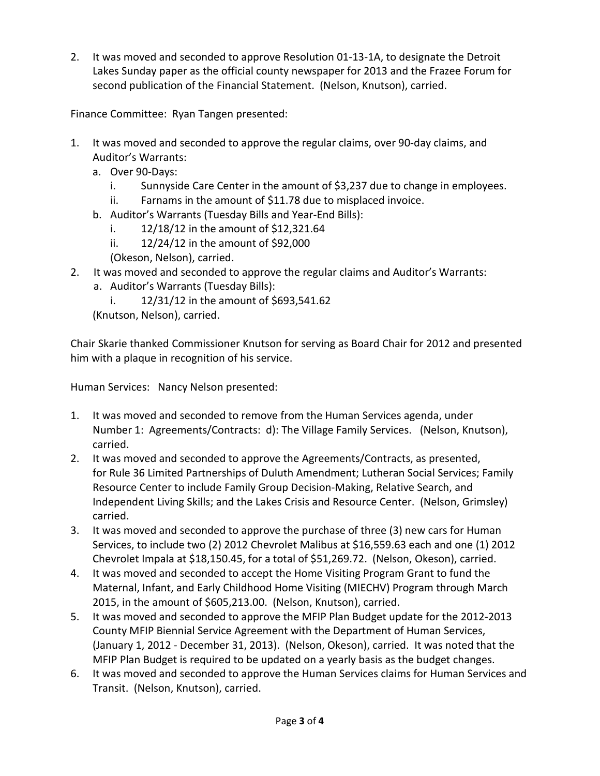2. It was moved and seconded to approve Resolution 01-13-1A, to designate the Detroit Lakes Sunday paper as the official county newspaper for 2013 and the Frazee Forum for second publication of the Financial Statement. (Nelson, Knutson), carried.

Finance Committee: Ryan Tangen presented:

- 1. It was moved and seconded to approve the regular claims, over 90-day claims, and Auditor's Warrants:
	- a. Over 90-Days:
		- i. Sunnyside Care Center in the amount of \$3,237 due to change in employees.
		- ii. Farnams in the amount of \$11.78 due to misplaced invoice.
	- b. Auditor's Warrants (Tuesday Bills and Year-End Bills):
		- i. 12/18/12 in the amount of \$12,321.64
		- ii. 12/24/12 in the amount of \$92,000
		- (Okeson, Nelson), carried.
- 2. It was moved and seconded to approve the regular claims and Auditor's Warrants:
	- a. Auditor's Warrants (Tuesday Bills):
		- i.  $12/31/12$  in the amount of \$693,541.62

(Knutson, Nelson), carried.

Chair Skarie thanked Commissioner Knutson for serving as Board Chair for 2012 and presented him with a plaque in recognition of his service.

Human Services: Nancy Nelson presented:

- 1. It was moved and seconded to remove from the Human Services agenda, under Number 1: Agreements/Contracts: d): The Village Family Services. (Nelson, Knutson), carried.
- 2. It was moved and seconded to approve the Agreements/Contracts, as presented, for Rule 36 Limited Partnerships of Duluth Amendment; Lutheran Social Services; Family Resource Center to include Family Group Decision-Making, Relative Search, and Independent Living Skills; and the Lakes Crisis and Resource Center. (Nelson, Grimsley) carried.
- 3. It was moved and seconded to approve the purchase of three (3) new cars for Human Services, to include two (2) 2012 Chevrolet Malibus at \$16,559.63 each and one (1) 2012 Chevrolet Impala at \$18,150.45, for a total of \$51,269.72. (Nelson, Okeson), carried.
- 4. It was moved and seconded to accept the Home Visiting Program Grant to fund the Maternal, Infant, and Early Childhood Home Visiting (MIECHV) Program through March 2015, in the amount of \$605,213.00. (Nelson, Knutson), carried.
- 5. It was moved and seconded to approve the MFIP Plan Budget update for the 2012-2013 County MFIP Biennial Service Agreement with the Department of Human Services, (January 1, 2012 - December 31, 2013). (Nelson, Okeson), carried. It was noted that the MFIP Plan Budget is required to be updated on a yearly basis as the budget changes.
- 6. It was moved and seconded to approve the Human Services claims for Human Services and Transit. (Nelson, Knutson), carried.